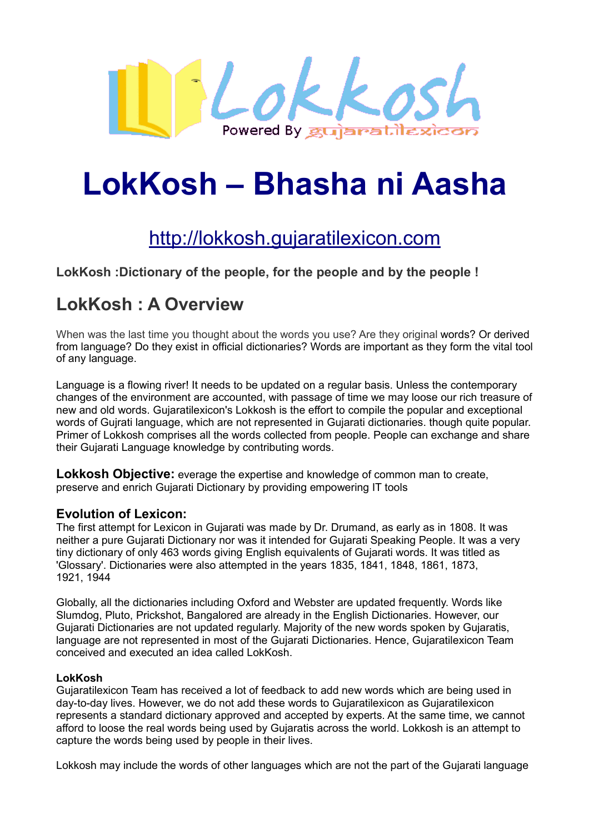

# **LokKosh – Bhasha ni Aasha**

# http://lokkosh.gujaratilexicon.com

**LokKosh :Dictionary of the people, for the people and by the people !**

# **LokKosh : A Overview**

When was the last time you thought about the words you use? Are they original words? Or derived from language? Do they exist in official dictionaries? Words are important as they form the vital tool of any language.

Language is a flowing river! It needs to be updated on a regular basis. Unless the contemporary changes of the environment are accounted, with passage of time we may loose our rich treasure of new and old words. Gujaratilexicon's Lokkosh is the effort to compile the popular and exceptional words of Gujrati language, which are not represented in Gujarati dictionaries. though quite popular. Primer of Lokkosh comprises all the words collected from people. People can exchange and share their Gujarati Language knowledge by contributing words.

**Lokkosh Objective:** everage the expertise and knowledge of common man to create, preserve and enrich Gujarati Dictionary by providing empowering IT tools

#### **Evolution of Lexicon:**

The first attempt for Lexicon in Gujarati was made by Dr. Drumand, as early as in 1808. It was neither a pure Gujarati Dictionary nor was it intended for Gujarati Speaking People. It was a very tiny dictionary of only 463 words giving English equivalents of Gujarati words. It was titled as 'Glossary'. Dictionaries were also attempted in the years 1835, 1841, 1848, 1861, 1873, 1921, 1944

Globally, all the dictionaries including Oxford and Webster are updated frequently. Words like Slumdog, Pluto, Prickshot, Bangalored are already in the English Dictionaries. However, our Gujarati Dictionaries are not updated regularly. Majority of the new words spoken by Gujaratis, language are not represented in most of the Gujarati Dictionaries. Hence, Gujaratilexicon Team conceived and executed an idea called LokKosh.

#### **LokKosh**

Gujaratilexicon Team has received a lot of feedback to add new words which are being used in day-to-day lives. However, we do not add these words to Gujaratilexicon as Gujaratilexicon represents a standard dictionary approved and accepted by experts. At the same time, we cannot afford to loose the real words being used by Gujaratis across the world. Lokkosh is an attempt to capture the words being used by people in their lives.

Lokkosh may include the words of other languages which are not the part of the Gujarati language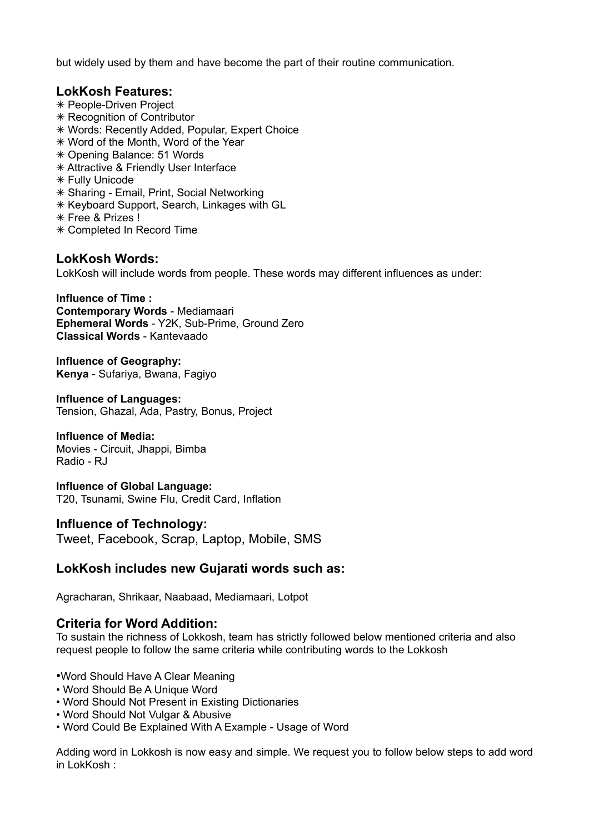but widely used by them and have become the part of their routine communication.

#### **LokKosh Features:**

- ✴ People-Driven Project
- ✴ Recognition of Contributor
- ✴ Words: Recently Added, Popular, Expert Choice
- ✴ Word of the Month, Word of the Year
- ✴ Opening Balance: 51 Words
- ✴ Attractive & Friendly User Interface
- ✴ Fully Unicode
- ✴ Sharing Email, Print, Social Networking
- ✴ Keyboard Support, Search, Linkages with GL
- ✴ Free & Prizes !
- ✴ Completed In Record Time

#### **LokKosh Words:**

LokKosh will include words from people. These words may different influences as under:

**Influence of Time : Contemporary Words** - Mediamaari **Ephemeral Words** - Y2K, Sub-Prime, Ground Zero **Classical Words** - Kantevaado

**Influence of Geography: Kenya** - Sufariya, Bwana, Fagiyo

**Influence of Languages:**  Tension, Ghazal, Ada, Pastry, Bonus, Project

#### **Influence of Media:**

Movies - Circuit, Jhappi, Bimba Radio - RJ

**Influence of Global Language:** T20, Tsunami, Swine Flu, Credit Card, Inflation

#### **Influence of Technology:**

Tweet, Facebook, Scrap, Laptop, Mobile, SMS

#### **LokKosh includes new Gujarati words such as:**

Agracharan, Shrikaar, Naabaad, Mediamaari, Lotpot

#### **Criteria for Word Addition:**

To sustain the richness of Lokkosh, team has strictly followed below mentioned criteria and also request people to follow the same criteria while contributing words to the Lokkosh

- •Word Should Have A Clear Meaning
- Word Should Be A Unique Word
- Word Should Not Present in Existing Dictionaries
- Word Should Not Vulgar & Abusive
- Word Could Be Explained With A Example Usage of Word

Adding word in Lokkosh is now easy and simple. We request you to follow below steps to add word in LokKosh :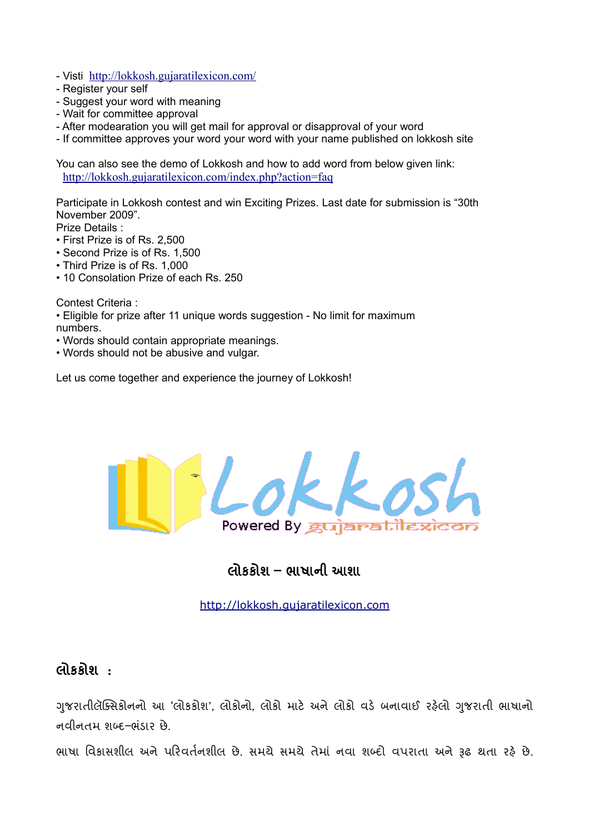- Visti <http://lokkosh.gujaratilexicon.com/>
- Register your self
- Suggest your word with meaning
- Wait for committee approval
- After modearation you will get mail for approval or disapproval of your word
- If committee approves your word your word with your name published on lokkosh site

You can also see the demo of Lokkosh and how to add word from below given link: <http://lokkosh.gujaratilexicon.com/index.php?action=faq>

Participate in Lokkosh contest and win Exciting Prizes. Last date for submission is "30th November 2009".

Prize Details :

- First Prize is of Rs. 2,500
- Second Prize is of Rs. 1,500
- Third Prize is of Rs. 1,000
- 10 Consolation Prize of each Rs. 250

Contest Criteria :

- Eligible for prize after 11 unique words suggestion No limit for maximum numbers.
- Words should contain appropriate meanings.
- Words should not be abusive and vulgar.

Let us come together and experience the journey of Lokkosh!



# લાકકાશ – ભાષાના આશા

http:// lokkosh.gujaratilexicon.com

## લાકકાશ :

ગુજરાતાલાક્સંકાનના આ 'લાકકાશ', લાકાના, લાકા માટ અને લાકા વડ બનાવાઈ રહ્લા ગુજરાતા ભાષાના નવીનતમ શબ્દ–ભંડાર છે.

ભાષા વિકાસશાલ અને પરિવતનશીલ છે. સમયે સમયે તેમાં નવા શબ્દી વપરાતા અને રૂઢ થતા રહ્ન છે.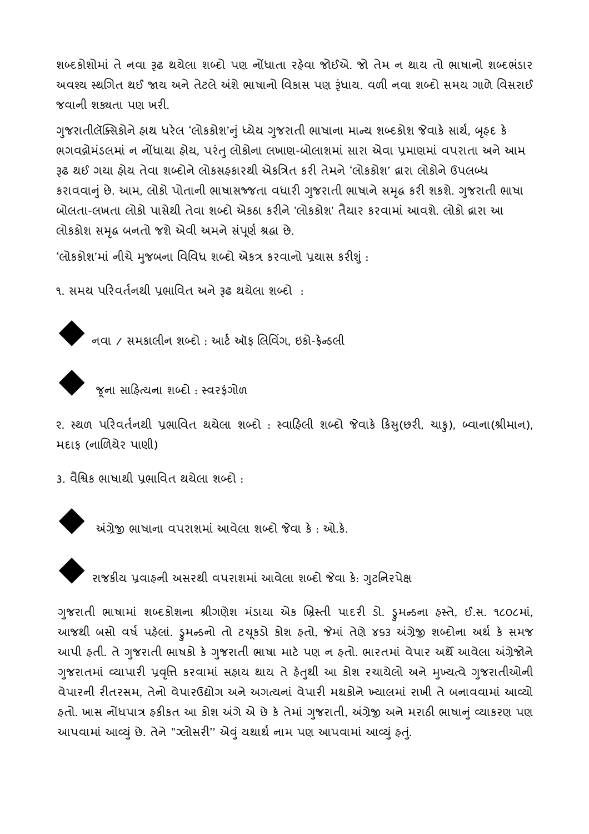શબ્દકાશામાં તે નવા રૂઢ થયલા શબ્દા પણ નાંધાતા રહ્વા જાઇએ. જા તેમ ન થાય તાં ભાષાના શબ્દભંડાર અવશ્ય સ્થાગત થઈ જાય અને તટલ અશે ભાષાના ાવકાસ પણ રૂધાય. વળા નવા શબ્દા સમય ગાળ ાવસરાઈ જવાની શક્યતા પણ ખરી.

ગુજરાતીલાક્સંકાન હ્રાથ ધરલ 'લાકકાશ'નું ધ્યેય ગુજરાતી ભાષાના માન્ય શબ્દકાશ જવાક સાથ, બૃહ્દ ક ભગવદ્ગામડલમાં ન નાધાયા હ્રાય, પરતું લાકાના લખાણ-બાલાશમાં સારા અવા પ્રમાણમાં વપરાતા અને આમ રૂઢ થઇ ગયા હ્રાય તેવા શબ્દાન લાકસહ્કારથા અકાત્રતે કરા તેમને 'લાકકાશ' દ્વારા લાકાને ઉપલબ્ધ કરાવવાનું છે. આમ, લોકો પોતાના ભાષાસજ્જતા વધારા ગુજરાતા ભાષાને સમૃદ્ધ કરા શકશે. ગુજરાતા ભાષા બોલતા-લખતા લોકો પાસેથી તેવા શબ્દો એકઠા કરીને 'લોકકોશ' તેચાર કરવામાં આવશે. લોકો દ્રારા આ લાકકાશ સમૃદ્ધ બનતાં જશ અવી અમન સપૂર્ણ શ્રદ્ધા છે.

'લાકકાશ'માં નાચ મુજબના ાવાવેધ શબ્દા અકત્ર કરવાના પ્રચાસ કરાશુ :

૧. સમય પરિવતનથી પ્રભાવિત અને રૂઢ થયેલા શબ્દી :



નવા / સમકાલીન શબ્દો : આર્ટ ઑફ લિવિંગ, ઇકો-ફ્રેન્ડલી



 $\blacklozenge$  જૂના સાહિત્યના શબ્દો : સ્વરફંગોળ

૨. સ્થળ પરિવતનથી પ્રભાવિત થયલા શબ્દી : સ્વાહિલી શબ્દી જવાક કિસુ(છરી, ચાકુ), બ્વાના(શ્રીમાન), મદાક (નાળિયેર પાણી)

3. વાશ્વક ભાષાથા પ્રભાવત થયલા શબ્દા :

અંગ્રેજી ભાષાના વપરાશમાં આવેલા શબ્દો જેવા કે: ઓ.કે.



 $\blacklozenge$  રાજકીય પ્રવાહની અસરથી વપરાશમાં આવેલા શબ્દો જેવા કે: ગુટનિરપેક્ષ

ગુજરાતા ભાષામાં શબ્દકાશના શ્રાગણશે મડાંચા અંક ખ્રસ્તા પાદરા ડા. ડ્રુમેન્ડના ફસ્ત, ઇ.સ. ૧૮૦૮માં, આજથી બેસી વર્ષ પહેલા. ડ્રુમેન્ડની તી ટેચૂકડી કોશ હતી, જેમાં તેણે ૪૬૩ અગ્રેજી શબ્દીના અથ કે સમજ આપા હતા. તે ગુજરાતા ભાષકા કે ગુજરાતા ભાષા માટે પણ ને હતા. ભારતમાં વપાર અંથે આવેલા અગ્રેજાને ' ગુજરાતમાં વ્યાપારા પ્રવૃાત્ત કરવામાં સફાય થાય ત ફતુથા આ કાશ રચાયલા અને મુખ્યત્વે ગુજરાતાઆના વપારના રાતરસમ, તેના વપારઉદ્યાગ અને અગત્યના વપારા મથકાન ખ્યાલમાં રાખા તે બનાવવામાં આવ્યા હતા. ખાસ નાંધપાત્ર હકાંકત આ કાશ અંગ અ છે કે તમાં ગુજરાતા, અંગ્રેજી અને મરાઠા ભાષાનું વ્યાકરણ પણ આપવામાં આવ્યું છે. તેને "ગ્લોસરી" એવું યથાથે નામ પણ આપવામાં આવ્યું ફેતું.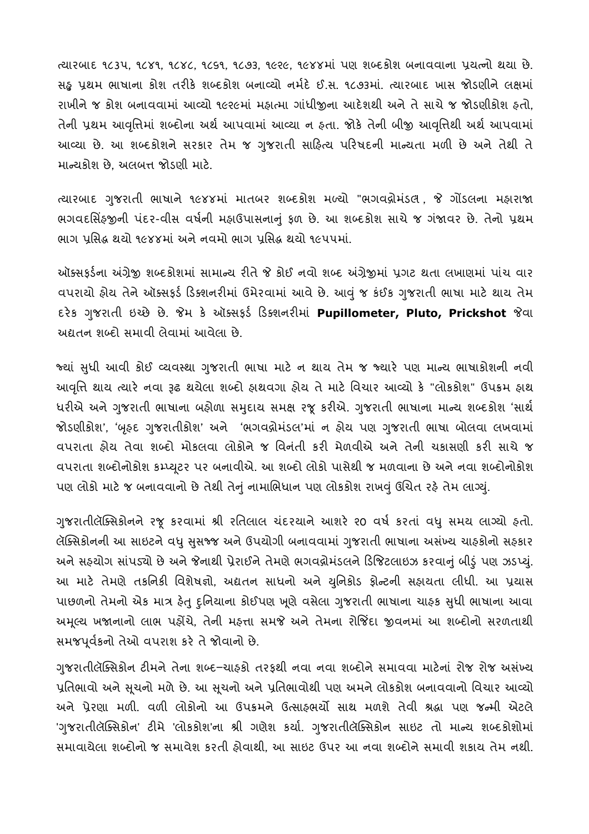ત્યારબાદ ૧૮૩૫, ૧૮૪૧, ૧૮૪૮, ૧૮૬૧, ૧૮૭૩, ૧૯૨૯, ૧૯૪૪માં પણ શબ્દકાશ બનાવવાના પ્રયત્ના થયા છે. સંદુ પ્રથમ ભાષાના કીશ તરીકે શબ્દકીશ બનાવ્યી નમદે ઈ.સ. ૧૮૭૩માં. ત્યારબાદ ખાસ જોડણીને લક્ષમાં રાખાન જ કાશ બનાવવામાં આવ્યા ૧૯૨૯માં મહાત્માં ગાંધાજીના આદશથા અને તે સાચે જ જાડણાકાશ હતા, તેની પ્રથમ આવૃત્તિમાં શબ્દોના અથ આપવામાં આવ્યા ન હતા. જોક તેની બીજી આવૃત્તિથી અથ આપવામાં આવ્યા છે. આ શબ્દકાશન સરકાર તમ જ ગુજરાતા સાહિત્ય પારષદના માન્યતા મળા છે અને તથા ત માન્ચકાશ છે, અલંબત્ત જાડણા માટે.

ત્યારબાદ ગુજરાતી ભાષાને ૧૯૪૪માં માતબર શબ્દકોશ મળ્યો "ભગવન્નોમંડલ , જે ગોંડલના મહારાજા ભગવદાસેફ્જીની પદર-વીસ વર્ષની મહાઉપાસનાનું ફળ છે. આ શબ્દકાશ સાચે જ ગજાવર છે. તેની પ્રથમ ભાગ પ્રાસંદ્ધ થયા ૧૯૪૪માં અને નવમાં ભાગ પ્રાસંદ્ધ થયા ૧૯૫૫માં.

આક્સફડના અગ્રેજી શબ્દકાશમાં સામાન્ચ રીતે જ કોઈ નવી શબ્દ અગ્રેજીમાં પ્રગટ થતા લખાણમાં પાંચ વાર વપરાંચી હ્રીય તેને અક્સિફંડ ડિક્શનરીમાં ઉમેરવામાં આવે છે. આવું જ કંઈક ગુજરાતી ભાષા માટે થાય તેમ દરેક ગુજરાતી ઇચ્છે છે. જેમ કે ઑક્સફર્ડ ડિક્શનરીમાં **Pupillometer, Pluto, Prickshot** જેવા અદ્યતન શબ્દા સમાવા લવામાં આવલા છે.

જ્યાં સુધા આવા કોઈ વ્યવસ્થા ગુજરાતા ભાષા માટે ન થાય તમે જ જ્યાર પણ માન્ય ભાષાકાશના નવા આવૃત્તિ થાય ત્યાર નવા રૂઢ થયલા શબ્દા હ્રાથવગા હ્રાય ત માટ ાવચાર આવ્યા ક "લાકકાશ" ઉપક્રમ હ્રાથ ધરીએ અને ગુજરાતી ભાષાના બહાળા સમુદાય સમક્ષ રજૂ કરીએ. ગુજરાતી ભાષાના માન્ય શબ્દકાશ 'સાથ જાડણાકાશ', 'બૃરુદ ગુજરાતાકાશ' અને 'ભગવદ્ગામડલ'માં ન હ્રાય પણ ગુજરાતા ભાષા બાલવા લખવામાં વપરાતા ફાય તેવા શબ્દા માંકલવા લોકોને જ વિનેતા કરા મળવાએ અને તેના ચકાસણા કરા સાચે જ વપરાતા શબ્દાનાકાશ કમ્પ્યૂટર પર બનાવાઅ. આ શબ્દા લાકા પાસથા જ મળવાના છ અન નવા શબ્દાનાકાશ પણ લાંકા માટે જ બનાવવાના છે તથા તેનું નામાંભિધાને પણ લાકકાશ રાખવું હાચત રહ્ન તમ લાગ્યું.

ગુજરાતીલોક્સેંકોનને રજૂ કરવામાં શ્રી રોતલાલ ચદરચાને આશર ૨૦ વર્ષ કરતા વધુ સમય લાગ્યો હતો. લાક્સંકાનના આ સાઇટન વધુ સુસંજ્જ અને ઉપયોગા બનાવવામાં ગુજરાતા ભાષાના અસખ્ય ચારુકાના સરુકાર અને સેરુચાંગ સાંપડ્યા છે અને જનાથા પ્રરાઇન તમણ ભગવદ્ગામડલન ાડાજટલાઇઝ કરવાનું બાડું પણ ઝડપ્યું. આ માટે તેમણે તકાનકા વિશેષજ્ઞા, અદ્યતન સાંધના અને યુનિકાંડ ફ્રાન્ટના સફાયતા લોધા. આ પ્રચાસ પાછળના તમના અક માત્ર ફતું દુખિયાના કોઇપણ ખૂણ વસલા ગુજરાતા ભાષાના ચાફક સુધા ભાષાના આવા અમૂલ્ય ખજાનાના લાભ પહાચ, તેના મહત્તા સમજ અને તમના રાાજદા જીવનમાં આ શબ્દાના સરળતાથા સમજપૂવકની તેઓ વપરાશ કર તે જોવાની છે.

ગુજરાતાલાક્સંકાન ટામન તના શબ્દ–ચારુકા તરફથા નવા નવા શબ્દાન સમાવવા માટના રાજ રાજ અસખ્ય પાતભાવા અને સૂચના મળે છે. આ સૂચના અને પાતભાવાથા પણ અમને લાકકાશ બનાવવાના વિચાર આવ્યા અને પ્રેરણા મેળા. વેળા લોકોના આ ઉપક્રમને ઉત્સાહ્મચા સાથે મળશે તેવા શ્રદ્ધા પણ જન્મા અટલ 'ગુજરાતીલીક્સેકોન' ટીમે 'લોકકોશ'ના શ્રી ગણેશ કર્યા. ગુજરાતીલીક્સેકોન સાઇટ તો માન્ય શબ્દકોશીમા સમાવાયલા શબ્દાના જ સમાવશ કરતા હ્રાવાથા, આ સાઇટ ઉપર આ નવા શબ્દાન સમાવા શકાય તમ નથા.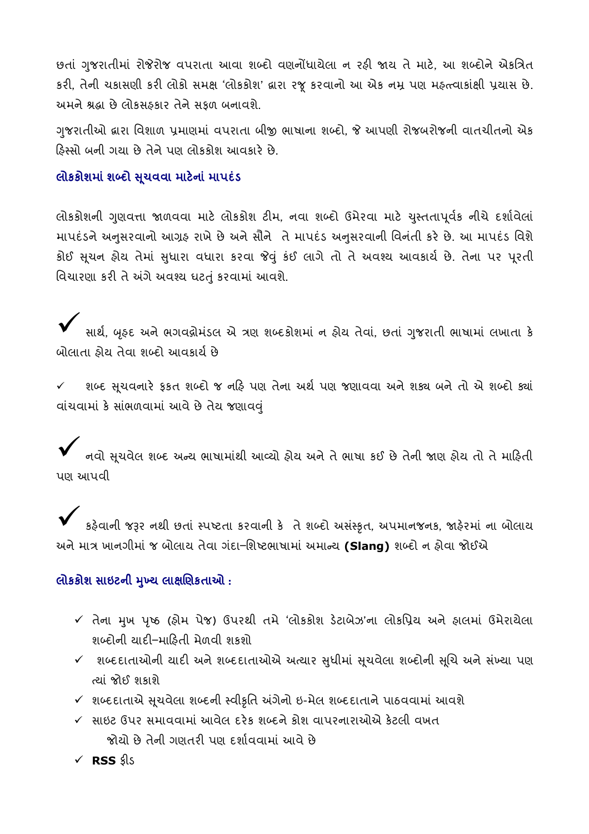છતા ગુજરાતામાં રાજરાજ વપરાતા આવા શબ્દા વણનાધાયલા ન રહ્ય જાય તે માટે, આ શબ્દાન અકાત્રત કરા, તેના ચકાસણા કરા લાંકો સમક્ષ 'લાકકાશ' દ્વારા રજૂ કરવાના આ અંક નમ્ર પણ મહત્ત્વાકાક્ષા પ્રચાસ છે. અમન શ્રદ્ધા છે લાકસફકાર તન સફળ બનાવશ.

ગુજરાતાઓ દ્વારા વિશાળ પ્રમાણમાં વેપરાતા બાજી ભાષાના શબ્દા, જ આપણા રાજબરાજના વાતચાતના અક ારુસ્સા બના ગયા છ તન પણ લાકકાશ આવકાર છ.

#### લાકકાશમાં શબ્દા સૂચવવા માટના માપદડ

લોકકર્શિની ગુણવત્તા જાળવવા માટે લોકકોશ ટીમ, નવા શબ્દી ઉમરવા માટે ચુસ્તતાપૂવક નાચે દશાવેલા માપદંડન અનુસરવાના આગ્રેફ રાખ છે અને સાનંં ત માપદંડ અનુસરવાના વિનેતા કર છે. આ માપદંડ ાવશ કોઈ સૂચન હ્રીય તેમાં સુધારા વધારા કરવા જવું કંઈ લાગે તો તે અવશ્ય આવકાય છે. તેના પર પૂરતી વિચારણા કરી તે અંગે અવશ્ય ઘટતું કરવામાં આવશે.

 $\blacktriangledown$  સાર્થ, બૃહદ અને ભગવદ્ગોમંડલ એ ત્રણ શબ્દકોશમાં ન હોય તેવાં, છતાં ગુજરાતી ભાષામાં લખાતા કે બાલાતા હ્રાય તવા શબ્દા આવકાય છ

 $\checkmark$  – શબ્દ સૂચવનારે ફકત શબ્દો જ નહિ પણ તેના અર્થે પણ જણાવવા અને શક્ય બને તો એ શબ્દો ક્યાં વાંચવામાં કે સાંભળવામાં આવે છે તેય જણાવવું

 $\checkmark$  નવો સૂચવેલ શબ્દ અન્ય ભાષામાંથી આવ્યો હોય અને તે ભાષા કઈ છે તેની જાણ હોય તો તે માહિતી પણ આપવ

 $\checkmark$  ક્રદેવાની જરૂર નથી છતાં સ્પષ્ટતા કરવાની કે તે શબ્દો અસંસ્કૃત, અપમાનજનક, જાહેરમાં ના બોલાય અને માત્ર ખાનગીમાં જ બોલાય તેવા ગંદા–શિષ્ટભાષામાં અમાન્ય **(Slang)** શબ્દો ન હોવા જોઈએ

#### લાકકાશ સાઇટના મુખ્ય લાક્ષાણકતાઆ :

- $\checkmark$  તેના મુખ પૃષ્ઠ (હોમ પેજ) ઉપરથી તમે 'લોકકોશ ડેટાબેઝ'ના લોકપ્રિય અને હ્રાલમાં ઉમેરાયેલા શબ્દાના ચાદા–માહિતા મળવા શકશા
- $\checkmark$  શબ્દદાતાઓની યાદી અને શબ્દદાતાઓએ અત્યાર સુધીમાં સૂચવેલા શબ્દોની સૂચિ અને સંખ્યા પણ ત્યા જાઇ શકાશ
- $\checkmark$  શબ્દદાતાએ સૂચવેલા શબ્દની સ્વીકૃતિ અંગેનો ઇ-મેલ શબ્દદાતાને પાઠવવામાં આવશે
- $\checkmark$  સાઇટ ઉપર સમાવવામાં આવેલ દરેક શબ્દને કોશ વાપરનારાઓએ કેટલી વખત જાયા છે તેના ગણતરી પણ દેશાવવામાં આવે છે
	- $\times$  RSS કીડ